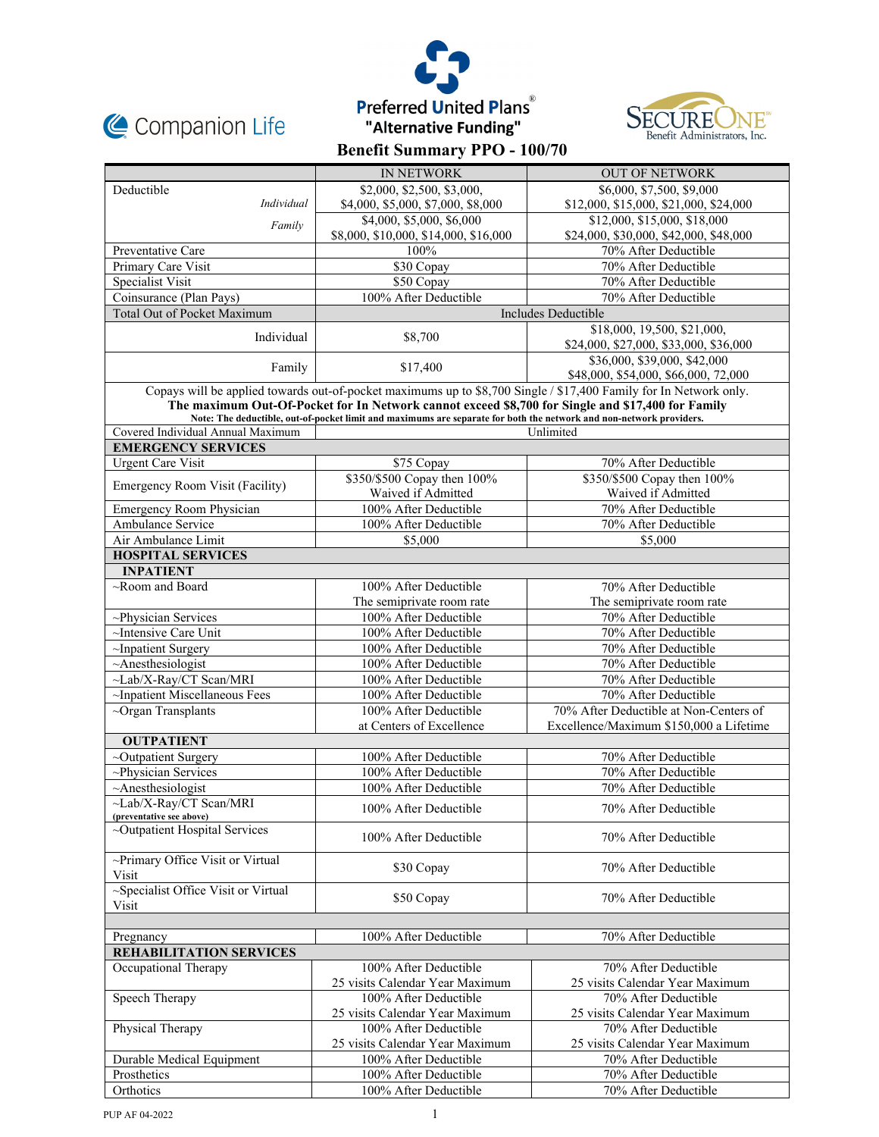





|                                                                                                                                                                                                                                                                                                                                               | <b>IN NETWORK</b>                                        | <b>OUT OF NETWORK</b>                                                 |  |
|-----------------------------------------------------------------------------------------------------------------------------------------------------------------------------------------------------------------------------------------------------------------------------------------------------------------------------------------------|----------------------------------------------------------|-----------------------------------------------------------------------|--|
| Deductible                                                                                                                                                                                                                                                                                                                                    | \$2,000, \$2,500, \$3,000,                               | \$6,000, \$7,500, \$9,000                                             |  |
| Individual                                                                                                                                                                                                                                                                                                                                    | \$4,000, \$5,000, \$7,000, \$8,000                       | \$12,000, \$15,000, \$21,000, \$24,000                                |  |
| Family                                                                                                                                                                                                                                                                                                                                        | \$4,000, \$5,000, \$6,000                                | \$12,000, \$15,000, \$18,000                                          |  |
|                                                                                                                                                                                                                                                                                                                                               | \$8,000, \$10,000, \$14,000, \$16,000                    | \$24,000, \$30,000, \$42,000, \$48,000                                |  |
| Preventative Care                                                                                                                                                                                                                                                                                                                             | 100%                                                     | 70% After Deductible                                                  |  |
| Primary Care Visit                                                                                                                                                                                                                                                                                                                            | \$30 Copay                                               | 70% After Deductible                                                  |  |
| Specialist Visit                                                                                                                                                                                                                                                                                                                              | \$50 Copay                                               | 70% After Deductible                                                  |  |
| Coinsurance (Plan Pays)                                                                                                                                                                                                                                                                                                                       | 100% After Deductible                                    | 70% After Deductible                                                  |  |
| <b>Total Out of Pocket Maximum</b>                                                                                                                                                                                                                                                                                                            |                                                          | Includes Deductible                                                   |  |
| Individual                                                                                                                                                                                                                                                                                                                                    | \$8,700                                                  | \$18,000, 19,500, \$21,000,<br>\$24,000, \$27,000, \$33,000, \$36,000 |  |
| Family                                                                                                                                                                                                                                                                                                                                        | \$17,400                                                 | \$36,000, \$39,000, \$42,000<br>\$48,000, \$54,000, \$66,000, 72,000  |  |
| Copays will be applied towards out-of-pocket maximums up to \$8,700 Single / \$17,400 Family for In Network only.<br>The maximum Out-Of-Pocket for In Network cannot exceed \$8,700 for Single and \$17,400 for Family<br>Note: The deductible, out-of-pocket limit and maximums are separate for both the network and non-network providers. |                                                          |                                                                       |  |
| Covered Individual Annual Maximum                                                                                                                                                                                                                                                                                                             |                                                          | Unlimited                                                             |  |
| <b>EMERGENCY SERVICES</b>                                                                                                                                                                                                                                                                                                                     |                                                          |                                                                       |  |
| <b>Urgent Care Visit</b>                                                                                                                                                                                                                                                                                                                      | \$75 Copay                                               | 70% After Deductible                                                  |  |
|                                                                                                                                                                                                                                                                                                                                               | \$350/\$500 Copay then 100%                              | \$350/\$500 Copay then 100%                                           |  |
| Emergency Room Visit (Facility)                                                                                                                                                                                                                                                                                                               | Waived if Admitted                                       | Waived if Admitted                                                    |  |
| Emergency Room Physician                                                                                                                                                                                                                                                                                                                      | 100% After Deductible                                    | 70% After Deductible                                                  |  |
| Ambulance Service                                                                                                                                                                                                                                                                                                                             | 100% After Deductible                                    | 70% After Deductible                                                  |  |
| Air Ambulance Limit                                                                                                                                                                                                                                                                                                                           | \$5,000                                                  | \$5,000                                                               |  |
| <b>HOSPITAL SERVICES</b>                                                                                                                                                                                                                                                                                                                      |                                                          |                                                                       |  |
| <b>INPATIENT</b>                                                                                                                                                                                                                                                                                                                              |                                                          |                                                                       |  |
| $\sim$ Room and Board                                                                                                                                                                                                                                                                                                                         | 100% After Deductible                                    | 70% After Deductible                                                  |  |
|                                                                                                                                                                                                                                                                                                                                               | The semiprivate room rate                                | The semiprivate room rate                                             |  |
| $\sim$ Physician Services                                                                                                                                                                                                                                                                                                                     | 100% After Deductible                                    | 70% After Deductible                                                  |  |
| $\sim$ Intensive Care Unit                                                                                                                                                                                                                                                                                                                    | 100% After Deductible                                    | 70% After Deductible                                                  |  |
| ~Inpatient Surgery                                                                                                                                                                                                                                                                                                                            | 100% After Deductible                                    | 70% After Deductible                                                  |  |
| $~\sim$ Anesthesiologist                                                                                                                                                                                                                                                                                                                      | 100% After Deductible                                    | 70% After Deductible                                                  |  |
| ~Lab/X-Ray/CT Scan/MRI                                                                                                                                                                                                                                                                                                                        | 100% After Deductible                                    | 70% After Deductible                                                  |  |
| ~Inpatient Miscellaneous Fees                                                                                                                                                                                                                                                                                                                 | 100% After Deductible                                    | 70% After Deductible                                                  |  |
| $\sim$ Organ Transplants                                                                                                                                                                                                                                                                                                                      | 100% After Deductible                                    | 70% After Deductible at Non-Centers of                                |  |
|                                                                                                                                                                                                                                                                                                                                               | at Centers of Excellence                                 | Excellence/Maximum \$150,000 a Lifetime                               |  |
| <b>OUTPATIENT</b>                                                                                                                                                                                                                                                                                                                             |                                                          |                                                                       |  |
| ~Outpatient Surgery                                                                                                                                                                                                                                                                                                                           | 100% After Deductible                                    | 70% After Deductible                                                  |  |
| ~Physician Services                                                                                                                                                                                                                                                                                                                           | 100% After Deductible                                    | 70% After Deductible                                                  |  |
| $~\sim$ Anesthesiologist                                                                                                                                                                                                                                                                                                                      | 100% After Deductible                                    | 70% After Deductible                                                  |  |
| $\sim$ Lab/X-Ray/CT Scan/MRI<br>(preventative see above)                                                                                                                                                                                                                                                                                      | 100% After Deductible                                    | 70% After Deductible                                                  |  |
| ~Outpatient Hospital Services                                                                                                                                                                                                                                                                                                                 | 100% After Deductible                                    | 70% After Deductible                                                  |  |
| ~Primary Office Visit or Virtual<br>Visit                                                                                                                                                                                                                                                                                                     | \$30 Copay                                               | 70% After Deductible                                                  |  |
| ~Specialist Office Visit or Virtual<br>Visit                                                                                                                                                                                                                                                                                                  | \$50 Copay                                               | 70% After Deductible                                                  |  |
|                                                                                                                                                                                                                                                                                                                                               |                                                          |                                                                       |  |
| Pregnancy                                                                                                                                                                                                                                                                                                                                     | 100% After Deductible                                    | 70% After Deductible                                                  |  |
| REHABILITATION SERVICES                                                                                                                                                                                                                                                                                                                       |                                                          |                                                                       |  |
| Occupational Therapy                                                                                                                                                                                                                                                                                                                          | 100% After Deductible<br>25 visits Calendar Year Maximum | 70% After Deductible<br>25 visits Calendar Year Maximum               |  |
| Speech Therapy                                                                                                                                                                                                                                                                                                                                | 100% After Deductible                                    | 70% After Deductible                                                  |  |
|                                                                                                                                                                                                                                                                                                                                               | 25 visits Calendar Year Maximum                          | 25 visits Calendar Year Maximum                                       |  |
| Physical Therapy                                                                                                                                                                                                                                                                                                                              | 100% After Deductible                                    | 70% After Deductible                                                  |  |
|                                                                                                                                                                                                                                                                                                                                               | 25 visits Calendar Year Maximum                          | 25 visits Calendar Year Maximum                                       |  |
| Durable Medical Equipment                                                                                                                                                                                                                                                                                                                     | 100% After Deductible                                    | 70% After Deductible                                                  |  |
| Prosthetics                                                                                                                                                                                                                                                                                                                                   | 100% After Deductible                                    | 70% After Deductible                                                  |  |
| Orthotics                                                                                                                                                                                                                                                                                                                                     | 100% After Deductible                                    | 70% After Deductible                                                  |  |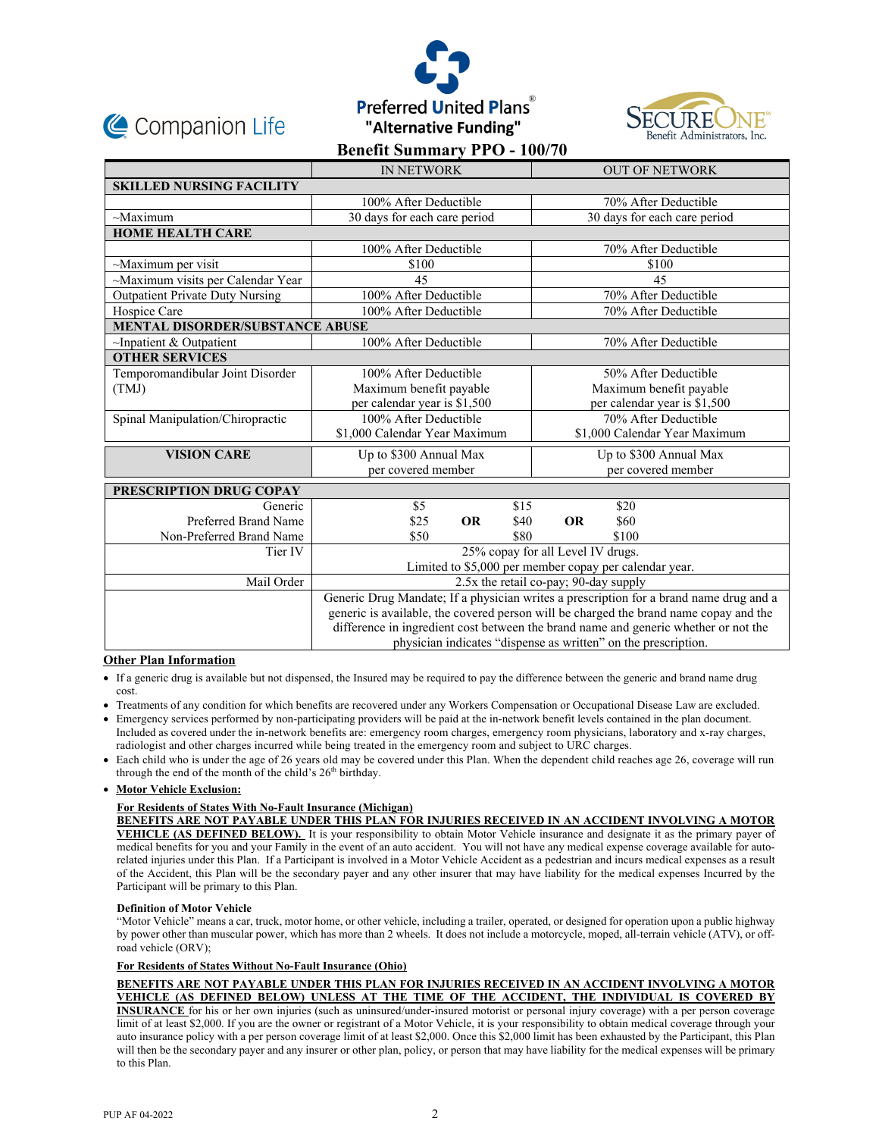





|                                        | <b>IN NETWORK</b>                                                                      | <b>OUT OF NETWORK</b>         |  |
|----------------------------------------|----------------------------------------------------------------------------------------|-------------------------------|--|
| <b>SKILLED NURSING FACILITY</b>        |                                                                                        |                               |  |
|                                        | 100% After Deductible                                                                  | 70% After Deductible          |  |
| $\sim$ Maximum                         | 30 days for each care period                                                           | 30 days for each care period  |  |
| <b>HOME HEALTH CARE</b>                |                                                                                        |                               |  |
|                                        | 100% After Deductible                                                                  | 70% After Deductible          |  |
| $\sim$ Maximum per visit               | \$100                                                                                  | \$100                         |  |
| ~Maximum visits per Calendar Year      | 45                                                                                     | 45                            |  |
| <b>Outpatient Private Duty Nursing</b> | 100% After Deductible                                                                  | 70% After Deductible          |  |
| Hospice Care                           | 100% After Deductible                                                                  | 70% After Deductible          |  |
| <b>MENTAL DISORDER/SUBSTANCE ABUSE</b> |                                                                                        |                               |  |
| $\sim$ Inpatient & Outpatient          | 100% After Deductible                                                                  | 70% After Deductible          |  |
| <b>OTHER SERVICES</b>                  |                                                                                        |                               |  |
| Temporomandibular Joint Disorder       | 100% After Deductible                                                                  | 50% After Deductible          |  |
| (TMJ)                                  | Maximum benefit payable                                                                | Maximum benefit payable       |  |
|                                        | per calendar year is \$1,500                                                           | per calendar year is \$1,500  |  |
| Spinal Manipulation/Chiropractic       | 100% After Deductible                                                                  | 70% After Deductible          |  |
|                                        | \$1,000 Calendar Year Maximum                                                          | \$1,000 Calendar Year Maximum |  |
| <b>VISION CARE</b>                     | Up to \$300 Annual Max                                                                 | Up to \$300 Annual Max        |  |
|                                        | per covered member                                                                     | per covered member            |  |
| PRESCRIPTION DRUG COPAY                |                                                                                        |                               |  |
| Generic                                | \$15<br>\$5                                                                            | \$20                          |  |
| Preferred Brand Name                   | <b>OR</b><br>\$25<br>\$40                                                              | <b>OR</b><br>\$60             |  |
| Non-Preferred Brand Name               | \$80<br>\$50                                                                           | \$100                         |  |
| Tier IV                                | 25% copay for all Level IV drugs.                                                      |                               |  |
|                                        | Limited to \$5,000 per member copay per calendar year.                                 |                               |  |
| Mail Order                             | 2.5x the retail co-pay; 90-day supply                                                  |                               |  |
|                                        | Generic Drug Mandate; If a physician writes a prescription for a brand name drug and a |                               |  |
|                                        | generic is available, the covered person will be charged the brand name copay and the  |                               |  |
|                                        | difference in ingredient cost between the brand name and generic whether or not the    |                               |  |
|                                        | physician indicates "dispense as written" on the prescription.                         |                               |  |

# **Other Plan Information**

- If a generic drug is available but not dispensed, the Insured may be required to pay the difference between the generic and brand name drug cost.
- Treatments of any condition for which benefits are recovered under any Workers Compensation or Occupational Disease Law are excluded.
- Emergency services performed by non-participating providers will be paid at the in-network benefit levels contained in the plan document. Included as covered under the in-network benefits are: emergency room charges, emergency room physicians, laboratory and x-ray charges, radiologist and other charges incurred while being treated in the emergency room and subject to URC charges.
- Each child who is under the age of 26 years old may be covered under this Plan. When the dependent child reaches age 26, coverage will run through the end of the month of the child's 26<sup>th</sup> birthday.

### **Motor Vehicle Exclusion:**

## **For Residents of States With No-Fault Insurance (Michigan)**

**BENEFITS ARE NOT PAYABLE UNDER THIS PLAN FOR INJURIES RECEIVED IN AN ACCIDENT INVOLVING A MOTOR VEHICLE (AS DEFINED BELOW).** It is your responsibility to obtain Motor Vehicle insurance and designate it as the primary payer of medical benefits for you and your Family in the event of an auto accident. You will not have any medical expense coverage available for autorelated injuries under this Plan. If a Participant is involved in a Motor Vehicle Accident as a pedestrian and incurs medical expenses as a result of the Accident, this Plan will be the secondary payer and any other insurer that may have liability for the medical expenses Incurred by the Participant will be primary to this Plan.

### **Definition of Motor Vehicle**

"Motor Vehicle" means a car, truck, motor home, or other vehicle, including a trailer, operated, or designed for operation upon a public highway by power other than muscular power, which has more than 2 wheels. It does not include a motorcycle, moped, all-terrain vehicle (ATV), or offroad vehicle (ORV);

## **For Residents of States Without No-Fault Insurance (Ohio)**

**BENEFITS ARE NOT PAYABLE UNDER THIS PLAN FOR INJURIES RECEIVED IN AN ACCIDENT INVOLVING A MOTOR VEHICLE (AS DEFINED BELOW) UNLESS AT THE TIME OF THE ACCIDENT, THE INDIVIDUAL IS COVERED BY INSURANCE** for his or her own injuries (such as uninsured/under-insured motorist or personal injury coverage) with a per person coverage limit of at least \$2,000. If you are the owner or registrant of a Motor Vehicle, it is your responsibility to obtain medical coverage through your auto insurance policy with a per person coverage limit of at least \$2,000. Once this \$2,000 limit has been exhausted by the Participant, this Plan will then be the secondary payer and any insurer or other plan, policy, or person that may have liability for the medical expenses will be primary to this Plan.